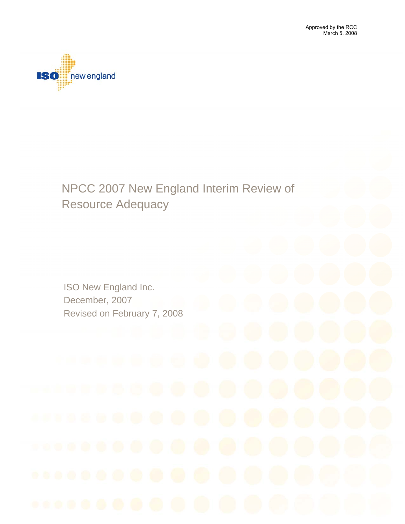

# NPCC 2007 New England Interim Review of Resource Adequacy

ISO New England Inc. December, 2007 Revised on February 7, 2008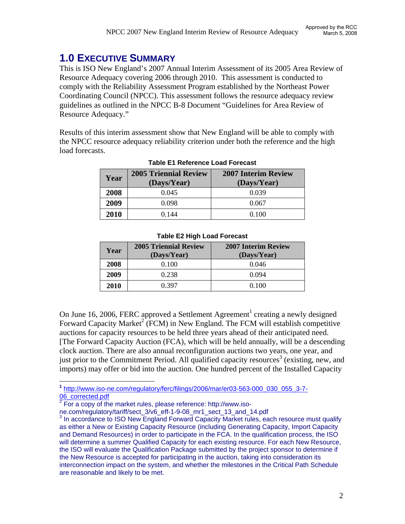## **1.0 EXECUTIVE SUMMARY**

This is ISO New England's 2007 Annual Interim Assessment of its 2005 Area Review of Resource Adequacy covering 2006 through 2010. This assessment is conducted to comply with the Reliability Assessment Program established by the Northeast Power Coordinating Council (NPCC). This assessment follows the resource adequacy review guidelines as outlined in the NPCC B-8 Document "Guidelines for Area Review of Resource Adequacy."

Results of this interim assessment show that New England will be able to comply with the NPCC resource adequacy reliability criterion under both the reference and the high load forecasts.

| Year | <b>2005 Triennial Review</b><br>(Days/Year) | <b>2007 Interim Review</b><br>(Days/Year) |
|------|---------------------------------------------|-------------------------------------------|
| 2008 | 0.045                                       | 0.039                                     |
| 2009 | 0.098                                       | 0.067                                     |
| 2010 | 0.144                                       | 0.100                                     |

#### **Table E1 Reference Load Forecast**

| Year | <b>2005 Triennial Review</b><br>(Days/Year) | <b>2007 Interim Review</b><br>(Days/Year) |
|------|---------------------------------------------|-------------------------------------------|
| 2008 | 0.100                                       | 0.046                                     |
| 2009 | 0.238                                       | 0.094                                     |
| 2010 | 0.397                                       | 0.100                                     |

#### **Table E2 High Load Forecast**

On June 16, 2006, FERC approved a Settlement Agreement<sup>1</sup> creating a newly designed Forward Capacity Market<sup>2</sup> (FCM) in New England. The FCM will establish competitive auctions for capacity resources to be held three years ahead of their anticipated need. [The Forward Capacity Auction (FCA), which will be held annually, will be a descending clock auction. There are also annual reconfiguration auctions two years, one year, and just prior to the Commitment Period. All qualified capacity resources<sup>3</sup> (existing, new, and imports) may offer or bid into the auction. One hundred percent of the Installed Capacity

1 **<sup>1</sup>** http://www.iso-ne.com/regulatory/ferc/filings/2006/mar/er03-563-000\_030\_055\_3-7-  $\frac{06}{2}$  Corrected.pdf

ne.com/regulatory/tariff/sect\_3/v6\_eff-1-9-08\_mr1\_sect\_13\_and\_14.pdf 3

For a copy of the market rules, please reference: http://www.iso-

 $3$  In accordance to ISO New England Forward Capacity Market rules, each resource must qualify as either a New or Existing Capacity Resource (including Generating Capacity, Import Capacity and Demand Resources) in order to participate in the FCA. In the qualification process, the ISO will determine a summer Qualified Capacity for each existing resource. For each New Resource, the ISO will evaluate the Qualification Package submitted by the project sponsor to determine if the New Resource is accepted for participating in the auction, taking into consideration its interconnection impact on the system, and whether the milestones in the Critical Path Schedule are reasonable and likely to be met.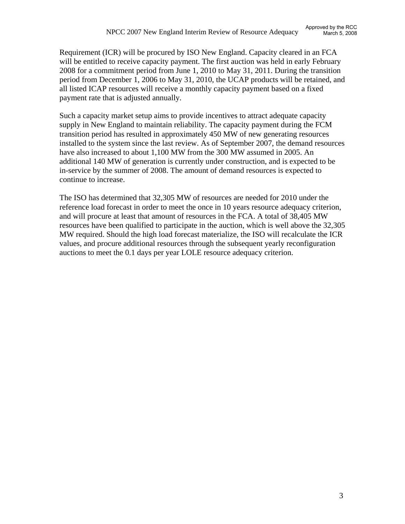Requirement (ICR) will be procured by ISO New England. Capacity cleared in an FCA will be entitled to receive capacity payment. The first auction was held in early February 2008 for a commitment period from June 1, 2010 to May 31, 2011. During the transition period from December 1, 2006 to May 31, 2010, the UCAP products will be retained, and all listed ICAP resources will receive a monthly capacity payment based on a fixed payment rate that is adjusted annually.

Such a capacity market setup aims to provide incentives to attract adequate capacity supply in New England to maintain reliability. The capacity payment during the FCM transition period has resulted in approximately 450 MW of new generating resources installed to the system since the last review. As of September 2007, the demand resources have also increased to about 1,100 MW from the 300 MW assumed in 2005. An additional 140 MW of generation is currently under construction, and is expected to be in-service by the summer of 2008. The amount of demand resources is expected to continue to increase.

The ISO has determined that 32,305 MW of resources are needed for 2010 under the reference load forecast in order to meet the once in 10 years resource adequacy criterion, and will procure at least that amount of resources in the FCA. A total of 38,405 MW resources have been qualified to participate in the auction, which is well above the 32,305 MW required. Should the high load forecast materialize, the ISO will recalculate the ICR values, and procure additional resources through the subsequent yearly reconfiguration auctions to meet the 0.1 days per year LOLE resource adequacy criterion.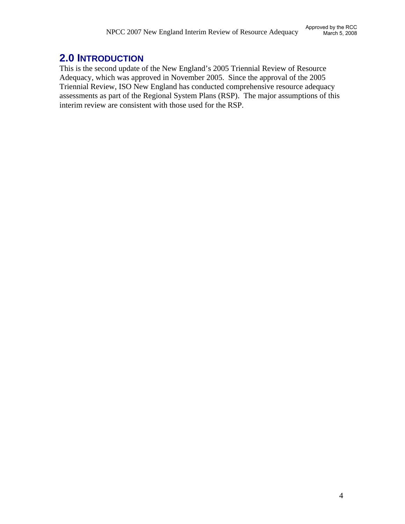# **2.0 INTRODUCTION**

This is the second update of the New England's 2005 Triennial Review of Resource Adequacy, which was approved in November 2005. Since the approval of the 2005 Triennial Review, ISO New England has conducted comprehensive resource adequacy assessments as part of the Regional System Plans (RSP). The major assumptions of this interim review are consistent with those used for the RSP.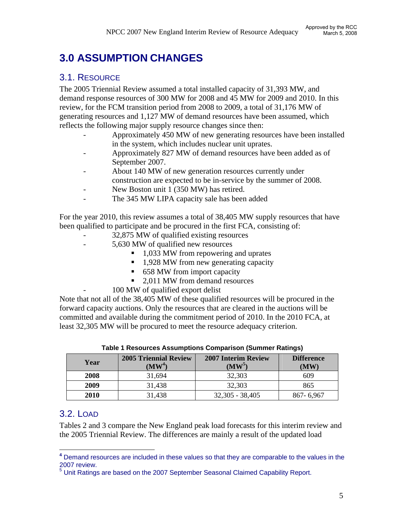# **3.0 ASSUMPTION CHANGES**

#### 3.1. RESOURCE

The 2005 Triennial Review assumed a total installed capacity of 31,393 MW, and demand response resources of 300 MW for 2008 and 45 MW for 2009 and 2010. In this review, for the FCM transition period from 2008 to 2009, a total of 31,176 MW of generating resources and 1,127 MW of demand resources have been assumed, which reflects the following major supply resource changes since then:

- Approximately 450 MW of new generating resources have been installed in the system, which includes nuclear unit uprates.
- Approximately 827 MW of demand resources have been added as of September 2007.
- About 140 MW of new generation resources currently under construction are expected to be in-service by the summer of 2008.
- New Boston unit 1 (350 MW) has retired.
- The 345 MW LIPA capacity sale has been added

For the year 2010, this review assumes a total of 38,405 MW supply resources that have been qualified to participate and be procured in the first FCA, consisting of:

- 32,875 MW of qualified existing resources
	- 5,630 MW of qualified new resources
		- 1,033 MW from repowering and uprates
		- $1,928$  MW from new generating capacity
		- 658 MW from import capacity
		- 2.011 MW from demand resources
		- 100 MW of qualified export delist

Note that not all of the 38,405 MW of these qualified resources will be procured in the forward capacity auctions. Only the resources that are cleared in the auctions will be committed and available during the commitment period of 2010. In the 2010 FCA, at least 32,305 MW will be procured to meet the resource adequacy criterion.

| Year        | <b>2005 Triennial Review</b><br>$(MW^4)$ | <b>2007 Interim Review</b><br>$(MW^5)$ | <b>Difference</b><br>$(\mathbf{MW})$ |
|-------------|------------------------------------------|----------------------------------------|--------------------------------------|
| 2008        | 31,694                                   | 32,303                                 | 609                                  |
| 2009        | 31,438                                   | 32,303                                 | 865                                  |
| <b>2010</b> | 31,438                                   | $32,305 - 38,405$                      | 867-6,967                            |

**Table 1 Resources Assumptions Comparison (Summer Ratings)** 

#### 3.2. LOAD

Tables 2 and 3 compare the New England peak load forecasts for this interim review and the 2005 Triennial Review. The differences are mainly a result of the updated load

 $\overline{a}$ **<sup>4</sup>** Demand resources are included in these values so that they are comparable to the values in the 2007 review.<br><sup>5</sup> Unit Ratings are based on the 2007 September Seasonal Claimed Capability Report.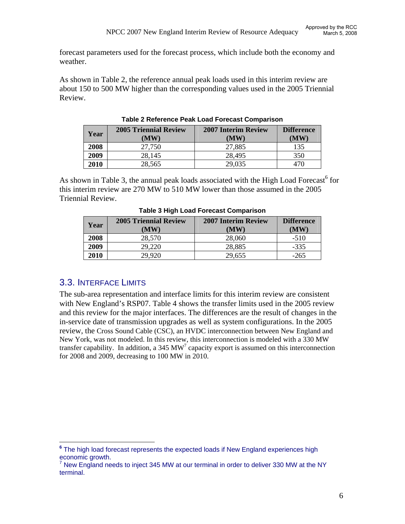forecast parameters used for the forecast process, which include both the economy and weather.

As shown in Table 2, the reference annual peak loads used in this interim review are about 150 to 500 MW higher than the corresponding values used in the 2005 Triennial Review.

| Year | <b>2005 Triennial Review</b><br>(MW) | <b>2007 Interim Review</b><br>(MW) | <b>Difference</b><br>(MW) |
|------|--------------------------------------|------------------------------------|---------------------------|
| 2008 | 27,750                               | 27,885                             | 135                       |
| 2009 | 28,145                               | 28,495                             | 350                       |
| 2010 | 28,565                               | 29,035                             | 470                       |

**Table 2 Reference Peak Load Forecast Comparison** 

As shown in Table 3, the annual peak loads associated with the High Load Forecast<sup>6</sup> for this interim review are 270 MW to 510 MW lower than those assumed in the 2005 Triennial Review.

| Year | <b>2005 Triennial Review</b><br>(MW) | <b>2007 Interim Review</b><br>(MW) | <b>Difference</b><br>(MW) |
|------|--------------------------------------|------------------------------------|---------------------------|
| 2008 | 28,570                               | 28,060                             | $-510$                    |
| 2009 | 29,220                               | 28,885                             | $-335$                    |
| 2010 | 29,920                               | 29,655                             | $-265$                    |

**Table 3 High Load Forecast Comparison** 

#### 3.3. INTERFACE LIMITS

 $\overline{a}$ 

The sub-area representation and interface limits for this interim review are consistent with New England's RSP07. Table 4 shows the transfer limits used in the 2005 review and this review for the major interfaces. The differences are the result of changes in the in-service date of transmission upgrades as well as system configurations. In the 2005 review, the Cross Sound Cable (CSC), an HVDC interconnection between New England and New York, was not modeled. In this review, this interconnection is modeled with a 330 MW transfer capability. In addition, a 345  $MW<sup>7</sup>$  capacity export is assumed on this interconnection for 2008 and 2009, decreasing to 100 MW in 2010.

**<sup>6</sup>** The high load forecast represents the expected loads if New England experiences high economic growth.

New England needs to inject 345 MW at our terminal in order to deliver 330 MW at the NY terminal.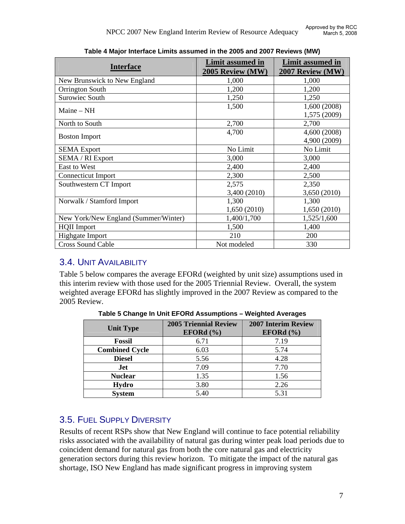| <b>Interface</b>                     | Limit assumed in<br>2005 Review (MW) | <b>Limit assumed in</b><br>2007 Review (MW) |
|--------------------------------------|--------------------------------------|---------------------------------------------|
| New Brunswick to New England         | 1,000                                | 1,000                                       |
| Orrington South                      | 1,200                                | 1,200                                       |
| <b>Surowiec South</b>                | 1,250                                | 1,250                                       |
| Maine $-NH$                          | 1,500                                | 1,600 (2008)<br>1,575 (2009)                |
| North to South                       | 2,700                                | 2,700                                       |
| <b>Boston Import</b>                 | 4,700                                | 4,600 (2008)<br>4,900 (2009)                |
| <b>SEMA</b> Export                   | No Limit                             | No Limit                                    |
| <b>SEMA / RI Export</b>              | 3,000                                | 3,000                                       |
| East to West                         | 2,400                                | 2,400                                       |
| <b>Connecticut Import</b>            | 2,300                                | 2,500                                       |
| Southwestern CT Import               | 2,575                                | 2,350                                       |
|                                      | 3,400 (2010)                         | 3,650 (2010)                                |
| Norwalk / Stamford Import            | 1,300                                | 1,300                                       |
|                                      | 1,650 (2010)                         | 1,650(2010)                                 |
| New York/New England (Summer/Winter) | 1,400/1,700                          | 1,525/1,600                                 |
| <b>HQII</b> Import                   | 1,500                                | 1,400                                       |
| Highgate Import                      | 210                                  | 200                                         |
| <b>Cross Sound Cable</b>             | Not modeled                          | 330                                         |

**Table 4 Major Interface Limits assumed in the 2005 and 2007 Reviews (MW)** 

#### 3.4. UNIT AVAILABILITY

Table 5 below compares the average EFORd (weighted by unit size) assumptions used in this interim review with those used for the 2005 Triennial Review. Overall, the system weighted average EFORd has slightly improved in the 2007 Review as compared to the 2005 Review.

| <b>Unit Type</b>      | <b>2005 Triennial Review</b><br>EFORd $(\% )$ | <b>2007 Interim Review</b><br>EFORd $(\% )$ |
|-----------------------|-----------------------------------------------|---------------------------------------------|
| <b>Fossil</b>         | 6.71                                          | 7.19                                        |
| <b>Combined Cycle</b> | 6.03                                          | 5.74                                        |
| <b>Diesel</b>         | 5.56                                          | 4.28                                        |
| Jet                   | 7.09                                          | 7.70                                        |
| <b>Nuclear</b>        | 1.35                                          | 1.56                                        |
| Hydro                 | 3.80                                          | 2.26                                        |
| <b>System</b>         | 5.40                                          | 5.31                                        |

**Table 5 Change In Unit EFORd Assumptions – Weighted Averages** 

## 3.5. FUEL SUPPLY DIVERSITY

Results of recent RSPs show that New England will continue to face potential reliability risks associated with the availability of natural gas during winter peak load periods due to coincident demand for natural gas from both the core natural gas and electricity generation sectors during this review horizon. To mitigate the impact of the natural gas shortage, ISO New England has made significant progress in improving system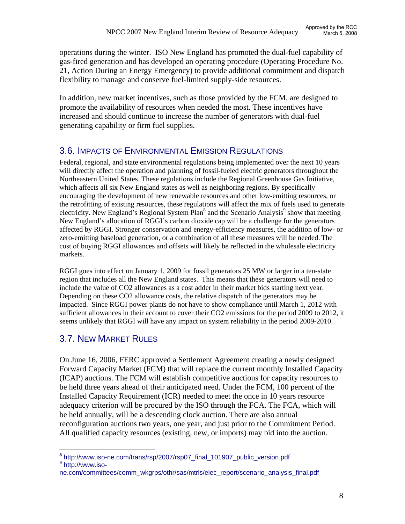operations during the winter. ISO New England has promoted the dual-fuel capability of gas-fired generation and has developed an operating procedure (Operating Procedure No. 21, Action During an Energy Emergency) to provide additional commitment and dispatch flexibility to manage and conserve fuel-limited supply-side resources.

In addition, new market incentives, such as those provided by the FCM, are designed to promote the availability of resources when needed the most. These incentives have increased and should continue to increase the number of generators with dual-fuel generating capability or firm fuel supplies.

#### 3.6. IMPACTS OF ENVIRONMENTAL EMISSION REGULATIONS

Federal, regional, and state environmental regulations being implemented over the next 10 years will directly affect the operation and planning of fossil-fueled electric generators throughout the Northeastern United States. These regulations include the Regional Greenhouse Gas Initiative, which affects all six New England states as well as neighboring regions. By specifically encouraging the development of new renewable resources and other low-emitting resources, or the retrofitting of existing resources, these regulations will affect the mix of fuels used to generate electricity. New England's Regional System Plan<sup>8</sup> and the Scenario Analysis<sup>9</sup> show that meeting New England's allocation of RGGI's carbon dioxide cap will be a challenge for the generators affected by RGGI. Stronger conservation and energy-efficiency measures, the addition of low- or zero-emitting baseload generation, or a combination of all these measures will be needed. The cost of buying RGGI allowances and offsets will likely be reflected in the wholesale electricity markets.

RGGI goes into effect on January 1, 2009 for fossil generators 25 MW or larger in a ten-state region that includes all the New England states. This means that these generators will need to include the value of CO2 allowances as a cost adder in their market bids starting next year. Depending on these CO2 allowance costs, the relative dispatch of the generators may be impacted. Since RGGI power plants do not have to show compliance until March 1, 2012 with sufficient allowances in their account to cover their CO2 emissions for the period 2009 to 2012, it seems unlikely that RGGI will have any impact on system reliability in the period 2009-2010.

## 3.7. NEW MARKET RULES

On June 16, 2006, FERC approved a Settlement Agreement creating a newly designed Forward Capacity Market (FCM) that will replace the current monthly Installed Capacity (ICAP) auctions. The FCM will establish competitive auctions for capacity resources to be held three years ahead of their anticipated need. Under the FCM, 100 percent of the Installed Capacity Requirement (ICR) needed to meet the once in 10 years resource adequacy criterion will be procured by the ISO through the FCA. The FCA, which will be held annually, will be a descending clock auction. There are also annual reconfiguration auctions two years, one year, and just prior to the Commitment Period. All qualified capacity resources (existing, new, or imports) may bid into the auction.

1 **<sup>8</sup>** http://www.iso-ne.com/trans/rsp/2007/rsp07\_final\_101907\_public\_version.pdf 9 <sup>9</sup> http://www.iso-

ne.com/committees/comm\_wkgrps/othr/sas/mtrls/elec\_report/scenario\_analysis\_final.pdf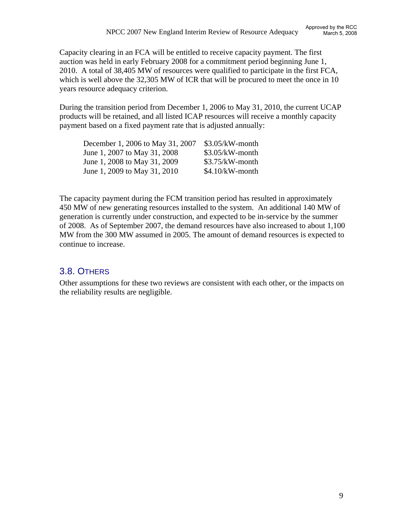Capacity clearing in an FCA will be entitled to receive capacity payment. The first auction was held in early February 2008 for a commitment period beginning June 1, 2010. A total of 38,405 MW of resources were qualified to participate in the first FCA, which is well above the 32,305 MW of ICR that will be procured to meet the once in 10 years resource adequacy criterion.

During the transition period from December 1, 2006 to May 31, 2010, the current UCAP products will be retained, and all listed ICAP resources will receive a monthly capacity payment based on a fixed payment rate that is adjusted annually:

| December 1, 2006 to May 31, 2007 | $$3.05/kW$ -month |
|----------------------------------|-------------------|
| June 1, 2007 to May 31, 2008     | $$3.05/kW$ -month |
| June 1, 2008 to May 31, 2009     | $$3.75/kW$ -month |
| June 1, 2009 to May 31, 2010     | $$4.10/kW$ -month |

The capacity payment during the FCM transition period has resulted in approximately 450 MW of new generating resources installed to the system. An additional 140 MW of generation is currently under construction, and expected to be in-service by the summer of 2008. As of September 2007, the demand resources have also increased to about 1,100 MW from the 300 MW assumed in 2005. The amount of demand resources is expected to continue to increase.

## 3.8. OTHERS

Other assumptions for these two reviews are consistent with each other, or the impacts on the reliability results are negligible.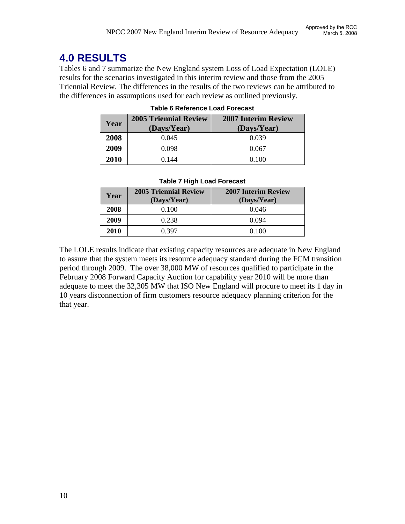# **4.0 RESULTS**

Tables 6 and 7 summarize the New England system Loss of Load Expectation (LOLE) results for the scenarios investigated in this interim review and those from the 2005 Triennial Review. The differences in the results of the two reviews can be attributed to the differences in assumptions used for each review as outlined previously.

| Year | <b>2005 Triennial Review</b> | <b>2007 Interim Review</b> |
|------|------------------------------|----------------------------|
|      | (Days/Year)                  | (Days/Year)                |
| 2008 | 0.045                        | 0.039                      |
| 2009 | 0.098                        | 0.067                      |
| 2010 | 0.144                        | 0.100                      |

#### **Table 6 Reference Load Forecast**

| Table 7 High Load Forecast |
|----------------------------|
|                            |

| Year | <b>2005 Triennial Review</b><br>(Days/Year) | <b>2007 Interim Review</b><br>(Days/Year) |
|------|---------------------------------------------|-------------------------------------------|
| 2008 | 0.100                                       | 0.046                                     |
| 2009 | 0.238                                       | 0.094                                     |
| 2010 | 0.397                                       | 0.100                                     |

The LOLE results indicate that existing capacity resources are adequate in New England to assure that the system meets its resource adequacy standard during the FCM transition period through 2009. The over 38,000 MW of resources qualified to participate in the February 2008 Forward Capacity Auction for capability year 2010 will be more than adequate to meet the 32,305 MW that ISO New England will procure to meet its 1 day in 10 years disconnection of firm customers resource adequacy planning criterion for the that year.